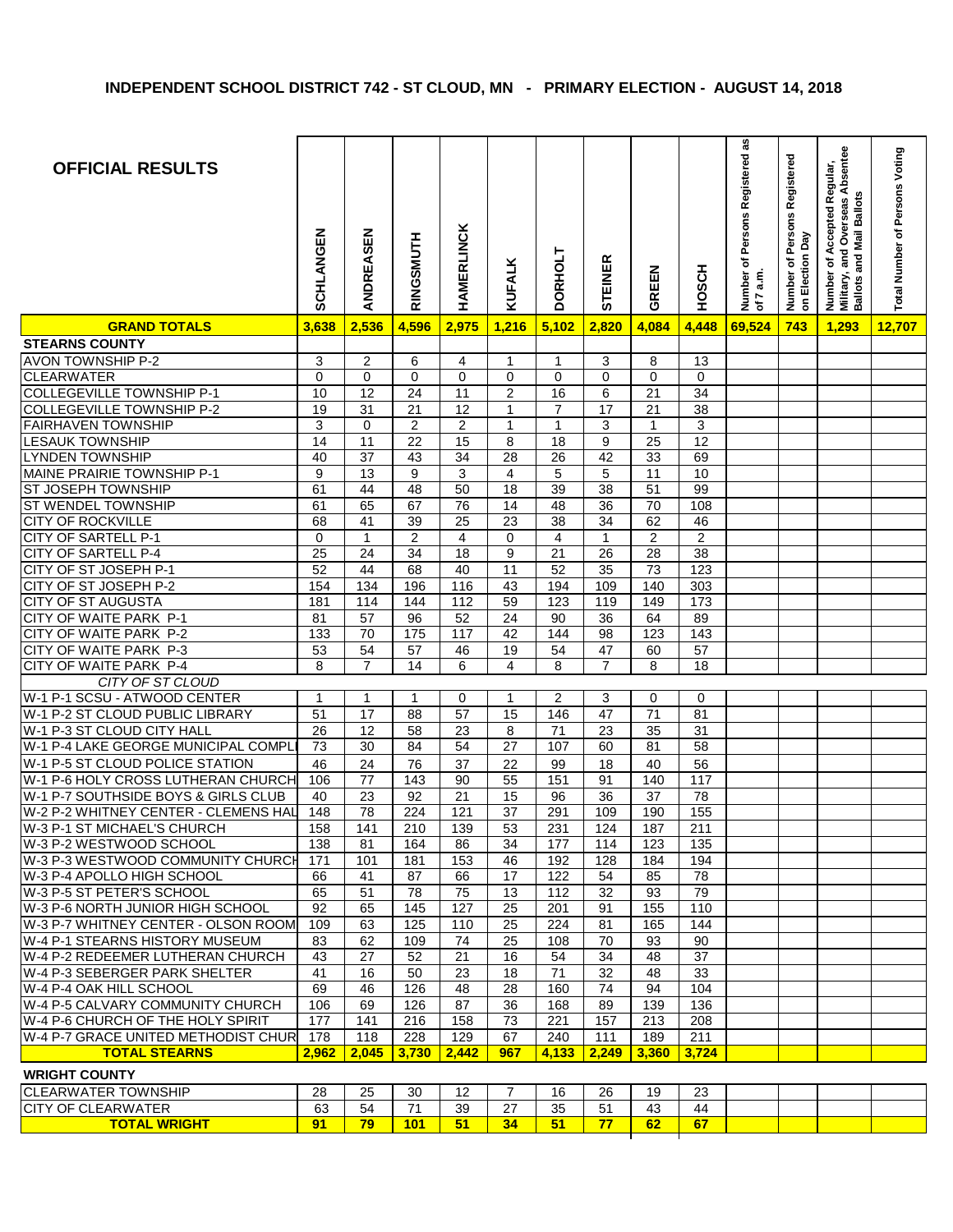| <b>OFFICIAL RESULTS</b>                                  | SCHLANGEN       | ANDREASEN       | RINGSMUTH        | HAMERLINCK              | <b>KUFALK</b>   | DORHOLT                 | STEINER          | GREEN           | HOSCH                   | Number of Persons Registered as<br>of 7 a.m. | Number of Persons Registered<br>on Election Day | and Overseas Absentee<br>Number of Accepted Regular,<br>Military, and Overseas Absen<br>and Mail Ballots<br>Ballots | Total Number of Persons Voting |
|----------------------------------------------------------|-----------------|-----------------|------------------|-------------------------|-----------------|-------------------------|------------------|-----------------|-------------------------|----------------------------------------------|-------------------------------------------------|---------------------------------------------------------------------------------------------------------------------|--------------------------------|
| <b>GRAND TOTALS</b>                                      | 3,638           | 2,536           | 4,596            | 2,975                   | 1,216           | 5,102                   | 2,820            | 4,084           | 4,448                   | 69,524                                       | 743                                             | 1,293                                                                                                               | 12,707                         |
| <b>STEARNS COUNTY</b>                                    |                 |                 |                  |                         |                 |                         |                  |                 |                         |                                              |                                                 |                                                                                                                     |                                |
| <b>AVON TOWNSHIP P-2</b>                                 | 3               | $\overline{c}$  | 6                | 4                       | 1               | $\mathbf 1$             | 3                | 8               | 13                      |                                              |                                                 |                                                                                                                     |                                |
| <b>CLEARWATER</b>                                        | $\mathbf 0$     | $\overline{0}$  | $\Omega$         | $\mathbf 0$             | 0               | $\mathbf 0$             | $\mathbf 0$      | $\Omega$        | $\mathbf 0$             |                                              |                                                 |                                                                                                                     |                                |
| <b>COLLEGEVILLE TOWNSHIP P-1</b>                         | 10              | 12              | 24               | 11                      | $\overline{c}$  | 16                      | 6                | 21              | 34                      |                                              |                                                 |                                                                                                                     |                                |
| <b>COLLEGEVILLE TOWNSHIP P-2</b>                         | 19              | 31              | 21               | 12                      | 1               | $\overline{7}$          | 17               | 21              | 38                      |                                              |                                                 |                                                                                                                     |                                |
| <b>FAIRHAVEN TOWNSHIP</b>                                | 3               | $\mathbf 0$     | $\overline{2}$   | $\overline{2}$          | $\mathbf{1}$    | $\mathbf{1}$            | $\overline{3}$   | $\mathbf{1}$    | $\overline{3}$          |                                              |                                                 |                                                                                                                     |                                |
| <b>LESAUK TOWNSHIP</b>                                   | $\overline{14}$ | 11              | $\overline{22}$  | 15                      | 8               | 18                      | $\boldsymbol{9}$ | $\overline{25}$ | $\overline{12}$         |                                              |                                                 |                                                                                                                     |                                |
| <b>LYNDEN TOWNSHIP</b>                                   | 40              | $\overline{37}$ | 43               | $\overline{34}$         | $\overline{28}$ | $\overline{26}$         | $\overline{42}$  | 33              | 69                      |                                              |                                                 |                                                                                                                     |                                |
| MAINE PRAIRIE TOWNSHIP P-1                               | 9               | 13              | $\boldsymbol{9}$ | $\mathsf 3$             | $\overline{4}$  | 5                       | 5                | 11              | 10                      |                                              |                                                 |                                                                                                                     |                                |
| ST JOSEPH TOWNSHIP                                       | 61              | 44              | $\overline{48}$  | 50                      | $\overline{18}$ | 39                      | $\overline{38}$  | 51              | 99                      |                                              |                                                 |                                                                                                                     |                                |
| <b>ST WENDEL TOWNSHIP</b>                                | 61              | 65              | 67               | $\overline{76}$         | $\overline{14}$ | 48                      | $\overline{36}$  | $\overline{70}$ | 108                     |                                              |                                                 |                                                                                                                     |                                |
| <b>CITY OF ROCKVILLE</b>                                 | 68              | 41              | 39               | 25                      | 23              | 38                      | 34               | 62              | 46                      |                                              |                                                 |                                                                                                                     |                                |
| CITY OF SARTELL P-1                                      | 0               | $\mathbf{1}$    | $\sqrt{2}$       | $\overline{\mathbf{4}}$ | 0               | $\overline{\mathbf{4}}$ | $\mathbf{1}$     | $\overline{c}$  | $\overline{\mathbf{c}}$ |                                              |                                                 |                                                                                                                     |                                |
| <b>CITY OF SARTELL P-4</b>                               | 25              | 24              | 34               | 18                      | $\overline{9}$  | $\overline{21}$         | 26               | 28              | 38                      |                                              |                                                 |                                                                                                                     |                                |
| CITY OF ST JOSEPH P-1                                    | 52              | 44              | 68               | 40                      | $\overline{11}$ | $\overline{52}$         | 35               | 73              | $\frac{1}{23}$          |                                              |                                                 |                                                                                                                     |                                |
| CITY OF ST JOSEPH P-2                                    | 154             | 134             | 196              | 116                     | 43              | 194                     | 109              | 140             | 303                     |                                              |                                                 |                                                                                                                     |                                |
| <b>CITY OF ST AUGUSTA</b>                                | 181             | 114             | 144              | 112                     | 59              | 123                     | 119              | 149             | 173                     |                                              |                                                 |                                                                                                                     |                                |
| CITY OF WAITE PARK P-1                                   | 81              | $\overline{57}$ | 96               | 52                      | 24              | 90                      | 36               | 64              | 89                      |                                              |                                                 |                                                                                                                     |                                |
| CITY OF WAITE PARK P-2                                   | 133             | 70              | 175              | 117                     | 42              | 144                     | $\overline{98}$  | 123             | 143                     |                                              |                                                 |                                                                                                                     |                                |
| CITY OF WAITE PARK P-3                                   | 53              | 54              | $\overline{57}$  | 46                      | 19              | $\overline{54}$         | $\overline{47}$  | 60              | $\overline{57}$         |                                              |                                                 |                                                                                                                     |                                |
| CITY OF WAITE PARK P-4                                   | 8               | $\overline{7}$  | 14               | 6                       | 4               | 8                       | $\overline{7}$   | 8               | 18                      |                                              |                                                 |                                                                                                                     |                                |
| CITY OF ST CLOUD                                         |                 |                 |                  |                         |                 |                         |                  |                 |                         |                                              |                                                 |                                                                                                                     |                                |
| W-1 P-1 SCSU - ATWOOD CENTER                             | $\mathbf{1}$    | $\mathbf{1}$    | $\mathbf{1}$     | 0                       | $\mathbf{1}$    | $\overline{\mathbf{c}}$ | 3                | 0               | 0                       |                                              |                                                 |                                                                                                                     |                                |
| W-1 P-2 ST CLOUD PUBLIC LIBRARY                          | 51              | 17              | 88               | 57                      | 15              | 146                     | 47               | $\overline{71}$ | 81                      |                                              |                                                 |                                                                                                                     |                                |
| W-1 P-3 ST CLOUD CITY HALL                               | 26              | 12              | 58               | 23                      | 8               | 71                      | $\overline{23}$  | 35              | $\overline{31}$         |                                              |                                                 |                                                                                                                     |                                |
| W-1 P-4 LAKE GEORGE MUNICIPAL COMPL                      | 73              | 30              | 84               | $\overline{54}$         | $\overline{27}$ | 107                     | 60               | 81              | 58                      |                                              |                                                 |                                                                                                                     |                                |
| W-1 P-5 ST CLOUD POLICE STATION                          | 46              | 24              | 76               | 37                      | 22              | 99                      | 18               | 40              | 56                      |                                              |                                                 |                                                                                                                     |                                |
| W-1 P-6 HOLY CROSS LUTHERAN CHURCH                       | 106             | 77              | 143              | 90                      | 55              | 151                     | 91               | 140             | 117                     |                                              |                                                 |                                                                                                                     |                                |
| W-1 P-7 SOUTHSIDE BOYS & GIRLS CLUB                      | 40              | $\overline{23}$ | $\overline{92}$  | $\overline{21}$         | $\overline{15}$ | 96                      | $\overline{36}$  | $\overline{37}$ | 78                      |                                              |                                                 |                                                                                                                     |                                |
| W-2 P-2 WHITNEY CENTER - CLEMENS HAL                     | 148             | 78              | 224              | 121                     | $\overline{37}$ | 291                     | 109              | 190             | 155                     |                                              |                                                 |                                                                                                                     |                                |
| W-3 P-1 ST MICHAEL'S CHURCH                              | 158             | 141             | 210              | 139                     | 53              | 231                     | 124              | 187             | 211                     |                                              |                                                 |                                                                                                                     |                                |
| W-3 P-2 WESTWOOD SCHOOL                                  | 138             | 81              | 164              | 86                      | 34              | 177                     | 114              | 123             | 135                     |                                              |                                                 |                                                                                                                     |                                |
| W-3 P-3 WESTWOOD COMMUNITY CHURCH                        | 171             | 101             | 181              | 153                     | 46              | 192                     | 128              | 184             | 194                     |                                              |                                                 |                                                                                                                     |                                |
| W-3 P-4 APOLLO HIGH SCHOOL                               | 66              | 41              | 87               | 66                      | 17              | 122                     | 54               | 85              | 78                      |                                              |                                                 |                                                                                                                     |                                |
| W-3 P-5 ST PETER'S SCHOOL                                | 65              | 51              | 78               | 75                      | 13              | 112                     | 32               | 93              | 79                      |                                              |                                                 |                                                                                                                     |                                |
| W-3 P-6 NORTH JUNIOR HIGH SCHOOL                         | 92              | 65              | 145              | 127                     | 25              | 201                     | 91               | 155             | 110                     |                                              |                                                 |                                                                                                                     |                                |
| W-3 P-7 WHITNEY CENTER - OLSON ROOM                      | 109             | 63              | 125              | 110                     | 25              | 224                     | 81               | 165             | 144                     |                                              |                                                 |                                                                                                                     |                                |
| W-4 P-1 STEARNS HISTORY MUSEUM                           | 83              | 62              | 109              | 74                      | 25              | 108                     | 70               | 93              | 90                      |                                              |                                                 |                                                                                                                     |                                |
| W-4 P-2 REDEEMER LUTHERAN CHURCH                         | 43              | 27              | 52               | 21                      | 16              | 54                      | 34               | 48              | 37                      |                                              |                                                 |                                                                                                                     |                                |
| W-4 P-3 SEBERGER PARK SHELTER<br>W-4 P-4 OAK HILL SCHOOL | 41<br>69        | 16<br>46        | 50               | 23<br>48                | 18<br>28        | 71<br>160               | 32<br>74         | 48<br>94        | 33<br>104               |                                              |                                                 |                                                                                                                     |                                |
| W-4 P-5 CALVARY COMMUNITY CHURCH                         | 106             | 69              | 126<br>126       | 87                      | 36              | 168                     | 89               | 139             | 136                     |                                              |                                                 |                                                                                                                     |                                |
| W-4 P-6 CHURCH OF THE HOLY SPIRIT                        | 177             | 141             | 216              | 158                     | 73              | 221                     | 157              | 213             | 208                     |                                              |                                                 |                                                                                                                     |                                |
| W-4 P-7 GRACE UNITED METHODIST CHUR                      | 178             | 118             | 228              | 129                     | 67              | 240                     | 111              | 189             | 211                     |                                              |                                                 |                                                                                                                     |                                |
| <b>TOTAL STEARNS</b>                                     | 2,962           | 2,045           | 3,730            | 2,442                   | 967             | 4,133                   | 2,249            | 3,360           | 3,724                   |                                              |                                                 |                                                                                                                     |                                |
|                                                          |                 |                 |                  |                         |                 |                         |                  |                 |                         |                                              |                                                 |                                                                                                                     |                                |
| <b>WRIGHT COUNTY</b>                                     |                 |                 |                  |                         |                 |                         |                  |                 |                         |                                              |                                                 |                                                                                                                     |                                |
| <b>CLEARWATER TOWNSHIP</b>                               | 28              | 25              | 30               | 12                      | 7               | 16                      | 26               | 19              | 23                      |                                              |                                                 |                                                                                                                     |                                |
| <b>CITY OF CLEARWATER</b>                                | 63              | 54              | 71               | 39                      | 27              | 35                      | 51               | 43              | 44                      |                                              |                                                 |                                                                                                                     |                                |
| <b>TOTAL WRIGHT</b>                                      | 91              | 79              | 101              | 51                      | 34              | 51                      | 77               | 62              | 67                      |                                              |                                                 |                                                                                                                     |                                |